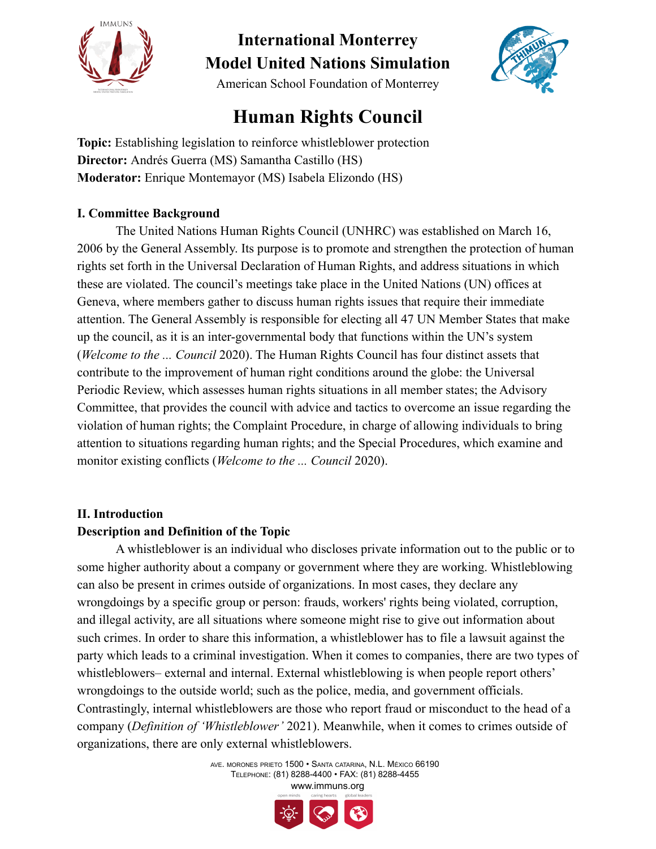

American School Foundation of Monterrey

## **Human Rights Council**

**Topic:** Establishing legislation to reinforce whistleblower protection **Director:** Andrés Guerra (MS) Samantha Castillo (HS) **Moderator:** Enrique Montemayor (MS) Isabela Elizondo (HS)

### **I. Committee Background**

The United Nations Human Rights Council (UNHRC) was established on March 16, 2006 by the General Assembly. Its purpose is to promote and strengthen the protection of human rights set forth in the Universal Declaration of Human Rights, and address situations in which these are violated. The council's meetings take place in the United Nations (UN) offices at Geneva, where members gather to discuss human rights issues that require their immediate attention. The General Assembly is responsible for electing all 47 UN Member States that make up the council, as it is an inter-governmental body that functions within the UN's system (*Welcome to the ... Council* 2020). The Human Rights Council has four distinct assets that contribute to the improvement of human right conditions around the globe: the Universal Periodic Review, which assesses human rights situations in all member states; the Advisory Committee, that provides the council with advice and tactics to overcome an issue regarding the violation of human rights; the Complaint Procedure, in charge of allowing individuals to bring attention to situations regarding human rights; and the Special Procedures, which examine and monitor existing conflicts (*Welcome to the ... Council* 2020).

### **II. Introduction**

### **Description and Definition of the Topic**

A whistleblower is an individual who discloses private information out to the public or to some higher authority about a company or government where they are working. Whistleblowing can also be present in crimes outside of organizations. In most cases, they declare any wrongdoings by a specific group or person: frauds, workers' rights being violated, corruption, and illegal activity, are all situations where someone might rise to give out information about such crimes. In order to share this information, a whistleblower has to file a lawsuit against the party which leads to a criminal investigation. When it comes to companies, there are two types of whistleblowers– external and internal. External whistleblowing is when people report others' wrongdoings to the outside world; such as the police, media, and government officials. Contrastingly, internal whistleblowers are those who report fraud or misconduct to the head of a company (*Definition of 'Whistleblower'* 2021). Meanwhile, when it comes to crimes outside of organizations, there are only external whistleblowers.

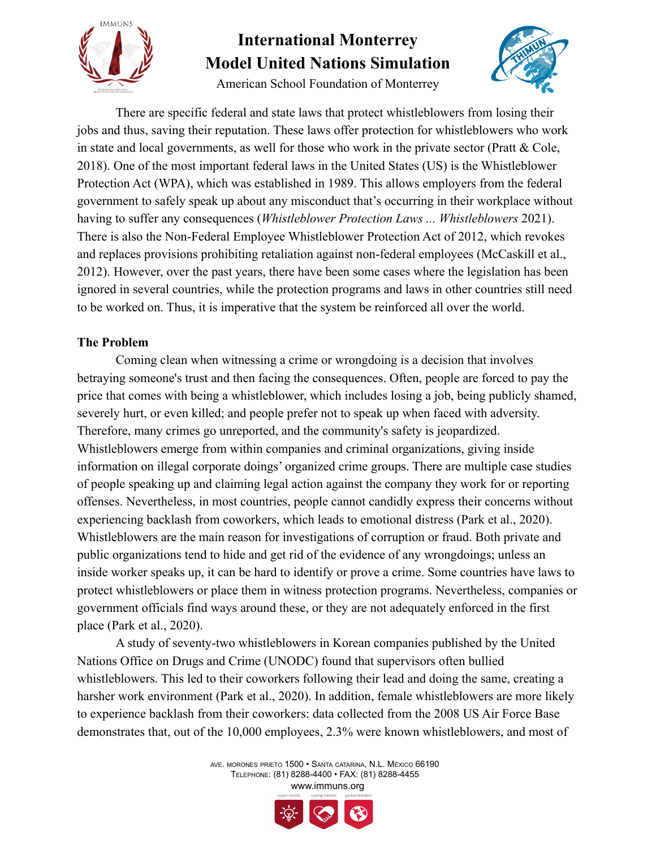

American School Foundation of Monterrey



There are specific federal and state laws that protect whistleblowers from losing their jobs and thus, saving their reputation. These laws offer protection for whistleblowers who work in state and local governments, as well for those who work in the private sector (Pratt  $&$  Cole, 2018). One of the most important federal laws in the United States (US) is the Whistleblower Protection Act (WPA), which was established in 1989. This allows employers from the federal government to safely speak up about any misconduct that's occurring in their workplace without having to suffer any consequences (*Whistleblower Protection Laws ... Whistleblowers* 2021). There is also the Non-Federal Employee Whistleblower Protection Act of 2012, which revokes and replaces provisions prohibiting retaliation against non-federal employees (McCaskill et al., 2012). However, over the past years, there have been some cases where the legislation has been ignored in several countries, while the protection programs and laws in other countries still need to be worked on. Thus, it is imperative that the system be reinforced all over the world.

### **The Problem**

Coming clean when witnessing a crime or wrongdoing is a decision that involves betraying someone's trust and then facing the consequences. Often, people are forced to pay the price that comes with being a whistleblower, which includes losing a job, being publicly shamed, severely hurt, or even killed; and people prefer not to speak up when faced with adversity. Therefore, many crimes go unreported, and the community's safety is jeopardized. Whistleblowers emerge from within companies and criminal organizations, giving inside information on illegal corporate doings' organized crime groups. There are multiple case studies of people speaking up and claiming legal action against the company they work for or reporting offenses. Nevertheless, in most countries, people cannot candidly express their concerns without experiencing backlash from coworkers, which leads to emotional distress (Park et al., 2020). Whistleblowers are the main reason for investigations of corruption or fraud. Both private and public organizations tend to hide and get rid of the evidence of any wrongdoings; unless an inside worker speaks up, it can be hard to identify or prove a crime. Some countries have laws to protect whistleblowers or place them in witness protection programs. Nevertheless, companies or government officials find ways around these, or they are not adequately enforced in the first place (Park et al., 2020).

A study of seventy-two whistleblowers in Korean companies published by the United Nations Office on Drugs and Crime (UNODC) found that supervisors often bullied whistleblowers. This led to their coworkers following their lead and doing the same, creating a harsher work environment (Park et al., 2020). In addition, female whistleblowers are more likely to experience backlash from their coworkers: data collected from the 2008 US Air Force Base demonstrates that, out of the 10,000 employees, 2.3% were known whistleblowers, and most of

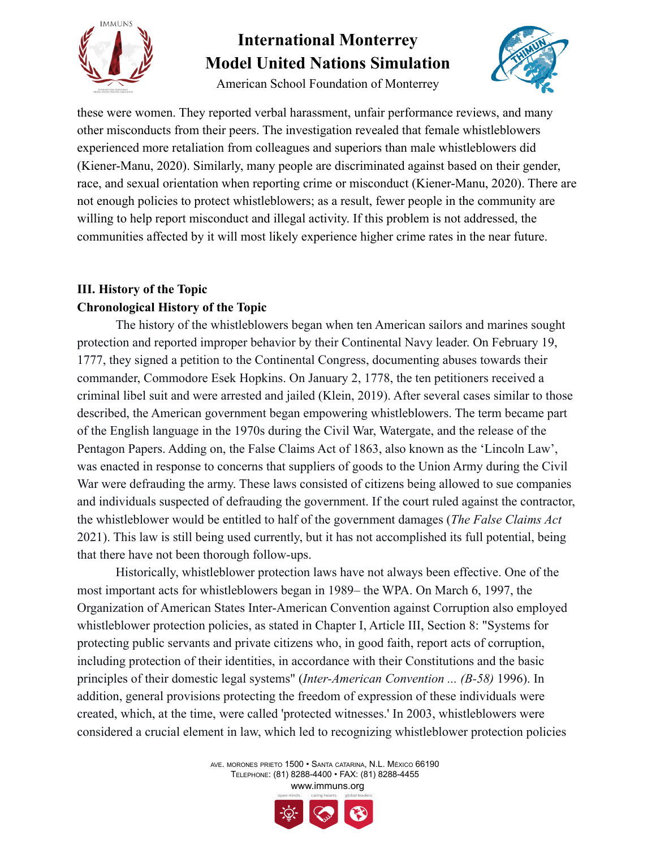

American School Foundation of Monterrey



these were women. They reported verbal harassment, unfair performance reviews, and many other misconducts from their peers. The investigation revealed that female whistleblowers experienced more retaliation from colleagues and superiors than male whistleblowers did (Kiener-Manu, 2020). Similarly, many people are discriminated against based on their gender, race, and sexual orientation when reporting crime or misconduct (Kiener-Manu, 2020). There are not enough policies to protect whistleblowers; as a result, fewer people in the community are willing to help report misconduct and illegal activity. If this problem is not addressed, the communities affected by it will most likely experience higher crime rates in the near future.

### **III. History of the Topic Chronological History of the Topic**

The history of the whistleblowers began when ten American sailors and marines sought protection and reported improper behavior by their Continental Navy leader. On February 19, 1777, they signed a petition to the Continental Congress, documenting abuses towards their commander, Commodore Esek Hopkins. On January 2, 1778, the ten petitioners received a criminal libel suit and were arrested and jailed (Klein, 2019). After several cases similar to those described, the American government began empowering whistleblowers. The term became part of the English language in the 1970s during the Civil War, Watergate, and the release of the Pentagon Papers. Adding on, the False Claims Act of 1863, also known as the 'Lincoln Law', was enacted in response to concerns that suppliers of goods to the Union Army during the Civil War were defrauding the army. These laws consisted of citizens being allowed to sue companies and individuals suspected of defrauding the government. If the court ruled against the contractor, the whistleblower would be entitled to half of the government damages (*The False Claims Act* 2021). This law is still being used currently, but it has not accomplished its full potential, being that there have not been thorough follow-ups.

Historically, whistleblower protection laws have not always been effective. One of the most important acts for whistleblowers began in 1989– the WPA. On March 6, 1997, the Organization of American States Inter-American Convention against Corruption also employed whistleblower protection policies, as stated in Chapter I, Article III, Section 8: "Systems for protecting public servants and private citizens who, in good faith, report acts of corruption, including protection of their identities, in accordance with their Constitutions and the basic principles of their domestic legal systems" (*Inter-American Convention ... (B-58)* 1996). In addition, general provisions protecting the freedom of expression of these individuals were created, which, at the time, were called 'protected witnesses.' In 2003, whistleblowers were considered a crucial element in law, which led to recognizing whistleblower protection policies

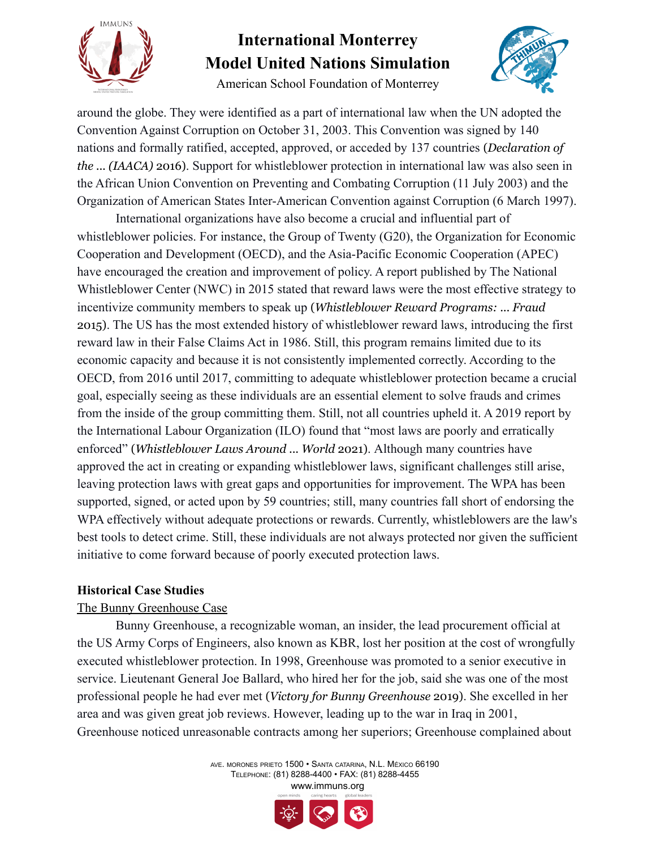

American School Foundation of Monterrey



around the globe. They were identified as a part of international law when the UN adopted the Convention Against Corruption on October 31, 2003. This Convention was signed by 140 nations and formally ratified, accepted, approved, or acceded by 137 countries (*Declaration of the ... (IAACA)* 2016). Support for whistleblower protection in international law was also seen in the African Union Convention on Preventing and Combating Corruption (11 July 2003) and the Organization of American States Inter-American Convention against Corruption (6 March 1997).

International organizations have also become a crucial and influential part of whistleblower policies. For instance, the Group of Twenty (G20), the Organization for Economic Cooperation and Development (OECD), and the Asia-Pacific Economic Cooperation (APEC) have encouraged the creation and improvement of policy. A report published by The National Whistleblower Center (NWC) in 2015 stated that reward laws were the most effective strategy to incentivize community members to speak up (*Whistleblower Reward Programs: ... Fraud* 2015). The US has the most extended history of whistleblower reward laws, introducing the first reward law in their False Claims Act in 1986. Still, this program remains limited due to its economic capacity and because it is not consistently implemented correctly. According to the OECD, from 2016 until 2017, committing to adequate whistleblower protection became a crucial goal, especially seeing as these individuals are an essential element to solve frauds and crimes from the inside of the group committing them. Still, not all countries upheld it. A 2019 report by the International Labour Organization (ILO) found that "most laws are poorly and erratically enforced" (*Whistleblower Laws Around ... World* 2021). Although many countries have approved the act in creating or expanding whistleblower laws, significant challenges still arise, leaving protection laws with great gaps and opportunities for improvement. The WPA has been supported, signed, or acted upon by 59 countries; still, many countries fall short of endorsing the WPA effectively without adequate protections or rewards. Currently, whistleblowers are the law's best tools to detect crime. Still, these individuals are not always protected nor given the sufficient initiative to come forward because of poorly executed protection laws.

### **Historical Case Studies**

### The Bunny Greenhouse Case

Bunny Greenhouse, a recognizable woman, an insider, the lead procurement official at the US Army Corps of Engineers, also known as KBR, lost her position at the cost of wrongfully executed whistleblower protection. In 1998, Greenhouse was promoted to a senior executive in service. Lieutenant General Joe Ballard, who hired her for the job, said she was one of the most professional people he had ever met (*Victory for Bunny Greenhouse* 2019). She excelled in her area and was given great job reviews. However, leading up to the war in Iraq in 2001, Greenhouse noticed unreasonable contracts among her superiors; Greenhouse complained about

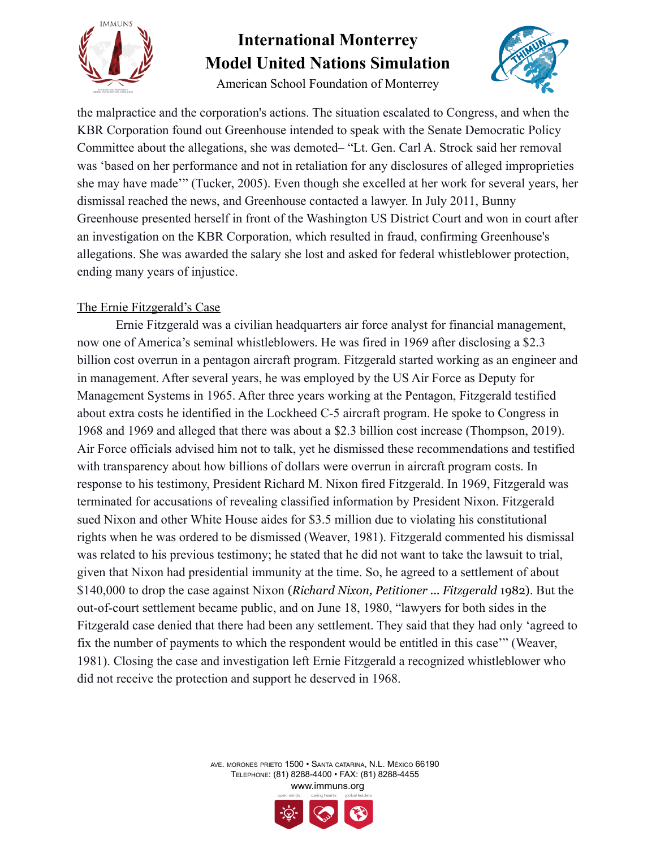

American School Foundation of Monterrey



the malpractice and the corporation's actions. The situation escalated to Congress, and when the KBR Corporation found out Greenhouse intended to speak with the Senate Democratic Policy Committee about the allegations, she was demoted– "Lt. Gen. Carl A. Strock said her removal was 'based on her performance and not in retaliation for any disclosures of alleged improprieties she may have made'" (Tucker, 2005). Even though she excelled at her work for several years, her dismissal reached the news, and Greenhouse contacted a lawyer. In July 2011, Bunny Greenhouse presented herself in front of the Washington US District Court and won in court after an investigation on the KBR Corporation, which resulted in fraud, confirming Greenhouse's allegations. She was awarded the salary she lost and asked for federal whistleblower protection, ending many years of injustice.

### The Ernie Fitzgerald's Case

Ernie Fitzgerald was a civilian headquarters air force analyst for financial management, now one of America's seminal whistleblowers. He was fired in 1969 after disclosing a \$2.3 billion cost overrun in a pentagon aircraft program. Fitzgerald started working as an engineer and in management. After several years, he was employed by the US Air Force as Deputy for Management Systems in 1965. After three years working at the Pentagon, Fitzgerald testified about extra costs he identified in the Lockheed C-5 aircraft program. He spoke to Congress in 1968 and 1969 and alleged that there was about a \$2.3 billion cost increase (Thompson, 2019). Air Force officials advised him not to talk, yet he dismissed these recommendations and testified with transparency about how billions of dollars were overrun in aircraft program costs. In response to his testimony, President Richard M. Nixon fired Fitzgerald. In 1969, Fitzgerald was terminated for accusations of revealing classified information by President Nixon. Fitzgerald sued Nixon and other White House aides for \$3.5 million due to violating his constitutional rights when he was ordered to be dismissed (Weaver, 1981). Fitzgerald commented his dismissal was related to his previous testimony; he stated that he did not want to take the lawsuit to trial, given that Nixon had presidential immunity at the time. So, he agreed to a settlement of about \$140,000 to drop the case against Nixon (*Richard Nixon, Petitioner ... Fitzgerald* 1982). But the out-of-court settlement became public, and on June 18, 1980, "lawyers for both sides in the Fitzgerald case denied that there had been any settlement. They said that they had only 'agreed to fix the number of payments to which the respondent would be entitled in this case'" (Weaver, 1981). Closing the case and investigation left Ernie Fitzgerald a recognized whistleblower who did not receive the protection and support he deserved in 1968.

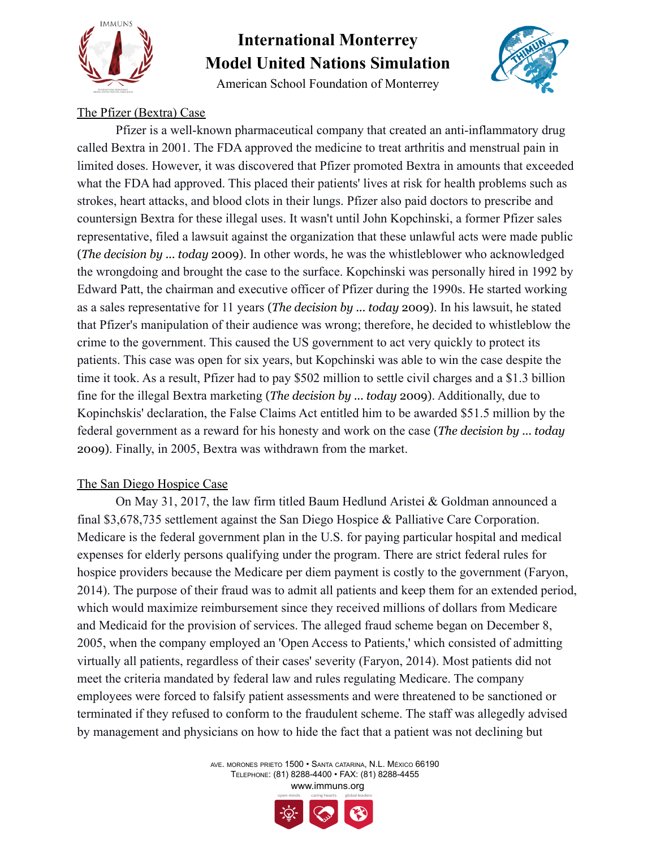

American School Foundation of Monterrey



### The Pfizer (Bextra) Case

Pfizer is a well-known pharmaceutical company that created an anti-inflammatory drug called Bextra in 2001. The FDA approved the medicine to treat arthritis and menstrual pain in limited doses. However, it was discovered that Pfizer promoted Bextra in amounts that exceeded what the FDA had approved. This placed their patients' lives at risk for health problems such as strokes, heart attacks, and blood clots in their lungs. Pfizer also paid doctors to prescribe and countersign Bextra for these illegal uses. It wasn't until John Kopchinski, a former Pfizer sales representative, filed a lawsuit against the organization that these unlawful acts were made public (*The decision by ... today* 2009). In other words, he was the whistleblower who acknowledged the wrongdoing and brought the case to the surface. Kopchinski was personally hired in 1992 by Edward Patt, the chairman and executive officer of Pfizer during the 1990s. He started working as a sales representative for 11 years (*The decision by ... today* 2009). In his lawsuit, he stated that Pfizer's manipulation of their audience was wrong; therefore, he decided to whistleblow the crime to the government. This caused the US government to act very quickly to protect its patients. This case was open for six years, but Kopchinski was able to win the case despite the time it took. As a result, Pfizer had to pay \$502 million to settle civil charges and a \$1.3 billion fine for the illegal Bextra marketing (*The decision by ... today* 2009). Additionally, due to Kopinchskis' declaration, the False Claims Act entitled him to be awarded \$51.5 million by the federal government as a reward for his honesty and work on the case (*The decision by ... today* 2009). Finally, in 2005, Bextra was withdrawn from the market.

### The San Diego Hospice Case

On May 31, 2017, the law firm titled Baum Hedlund Aristei & Goldman announced a final \$3,678,735 settlement against the San Diego Hospice & Palliative Care Corporation. Medicare is the federal government plan in the U.S. for paying particular hospital and medical expenses for elderly persons qualifying under the program. There are strict federal rules for hospice providers because the Medicare per diem payment is costly to the government (Faryon, 2014). The purpose of their fraud was to admit all patients and keep them for an extended period, which would maximize reimbursement since they received millions of dollars from Medicare and Medicaid for the provision of services. The alleged fraud scheme began on December 8, 2005, when the company employed an 'Open Access to Patients,' which consisted of admitting virtually all patients, regardless of their cases' severity (Faryon, 2014). Most patients did not meet the criteria mandated by federal law and rules regulating Medicare. The company employees were forced to falsify patient assessments and were threatened to be sanctioned or terminated if they refused to conform to the fraudulent scheme. The staff was allegedly advised by management and physicians on how to hide the fact that a patient was not declining but

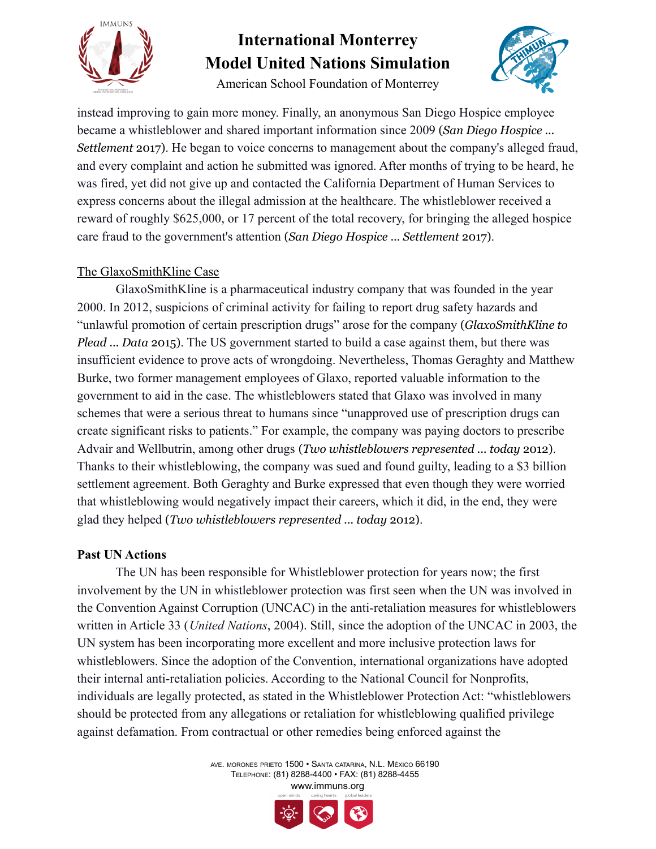

American School Foundation of Monterrey



instead improving to gain more money. Finally, an anonymous San Diego Hospice employee became a whistleblower and shared important information since 2009 (*San Diego Hospice ... Settlement* 2017). He began to voice concerns to management about the company's alleged fraud, and every complaint and action he submitted was ignored. After months of trying to be heard, he was fired, yet did not give up and contacted the California Department of Human Services to express concerns about the illegal admission at the healthcare. The whistleblower received a reward of roughly \$625,000, or 17 percent of the total recovery, for bringing the alleged hospice care fraud to the government's attention (*San Diego Hospice ... Settlement* 2017).

### The GlaxoSmithKline Case

GlaxoSmithKline is a pharmaceutical industry company that was founded in the year 2000. In 2012, suspicions of criminal activity for failing to report drug safety hazards and "unlawful promotion of certain prescription drugs" arose for the company (*GlaxoSmithKline to Plead ... Data* 2015). The US government started to build a case against them, but there was insufficient evidence to prove acts of wrongdoing. Nevertheless, Thomas Geraghty and Matthew Burke, two former management employees of Glaxo, reported valuable information to the government to aid in the case. The whistleblowers stated that Glaxo was involved in many schemes that were a serious threat to humans since "unapproved use of prescription drugs can create significant risks to patients." For example, the company was paying doctors to prescribe Advair and Wellbutrin, among other drugs (*Two whistleblowers represented ... today* 2012). Thanks to their whistleblowing, the company was sued and found guilty, leading to a \$3 billion settlement agreement. Both Geraghty and Burke expressed that even though they were worried that whistleblowing would negatively impact their careers, which it did, in the end, they were glad they helped (*Two whistleblowers represented ... today* 2012).

### **Past UN Actions**

The UN has been responsible for Whistleblower protection for years now; the first involvement by the UN in whistleblower protection was first seen when the UN was involved in the Convention Against Corruption (UNCAC) in the anti-retaliation measures for whistleblowers written in Article 33 (*United Nations*, 2004). Still, since the adoption of the UNCAC in 2003, the UN system has been incorporating more excellent and more inclusive protection laws for whistleblowers. Since the adoption of the Convention, international organizations have adopted their internal anti-retaliation policies. According to the National Council for Nonprofits, individuals are legally protected, as stated in the Whistleblower Protection Act: "whistleblowers should be protected from any allegations or retaliation for whistleblowing qualified privilege against defamation. From contractual or other remedies being enforced against the

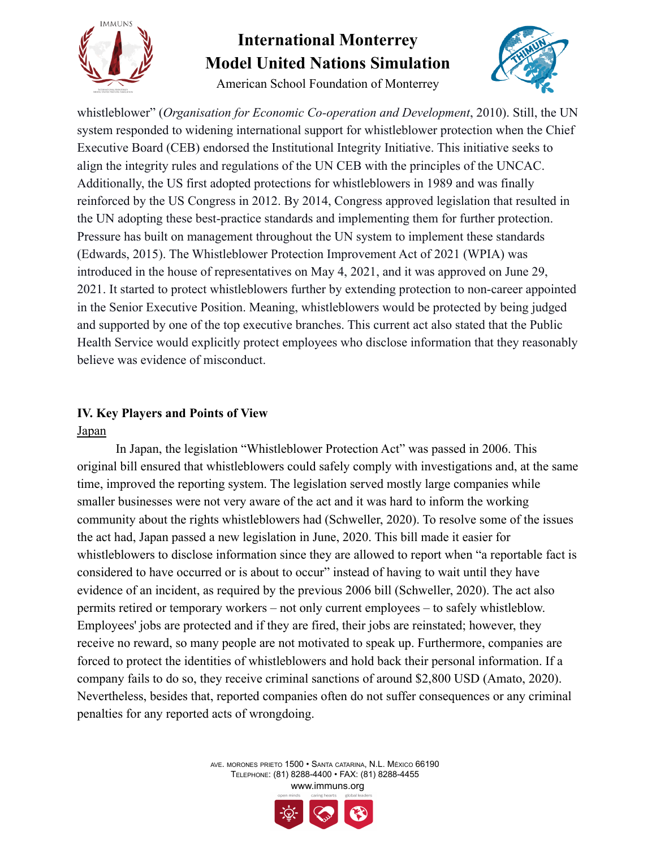

American School Foundation of Monterrey



whistleblower" (*Organisation for Economic Co-operation and Development*, 2010). Still, the UN system responded to widening international support for whistleblower protection when the Chief Executive Board (CEB) endorsed the Institutional Integrity Initiative. This initiative seeks to align the integrity rules and regulations of the UN CEB with the principles of the UNCAC. Additionally, the US first adopted protections for whistleblowers in 1989 and was finally reinforced by the US Congress in 2012. By 2014, Congress approved legislation that resulted in the UN adopting these best-practice standards and implementing them for further protection. Pressure has built on management throughout the UN system to implement these standards (Edwards, 2015). The Whistleblower Protection Improvement Act of 2021 (WPIA) was introduced in the house of representatives on May 4, 2021, and it was approved on June 29, 2021. It started to protect whistleblowers further by extending protection to non-career appointed in the Senior Executive Position. Meaning, whistleblowers would be protected by being judged and supported by one of the top executive branches. This current act also stated that the Public Health Service would explicitly protect employees who disclose information that they reasonably believe was evidence of misconduct.

### **IV. Key Players and Points of View** Japan

In Japan, the legislation "Whistleblower Protection Act" was passed in 2006. This original bill ensured that whistleblowers could safely comply with investigations and, at the same time, improved the reporting system. The legislation served mostly large companies while smaller businesses were not very aware of the act and it was hard to inform the working community about the rights whistleblowers had (Schweller, 2020). To resolve some of the issues the act had, Japan passed a new legislation in June, 2020. This bill made it easier for whistleblowers to disclose information since they are allowed to report when "a reportable fact is considered to have occurred or is about to occur" instead of having to wait until they have evidence of an incident, as required by the previous 2006 bill (Schweller, 2020). The act also permits retired or temporary workers – not only current employees – to safely whistleblow. Employees' jobs are protected and if they are fired, their jobs are reinstated; however, they receive no reward, so many people are not motivated to speak up. Furthermore, companies are forced to protect the identities of whistleblowers and hold back their personal information. If a company fails to do so, they receive criminal sanctions of around \$2,800 USD (Amato, 2020). Nevertheless, besides that, reported companies often do not suffer consequences or any criminal penalties for any reported acts of wrongdoing.

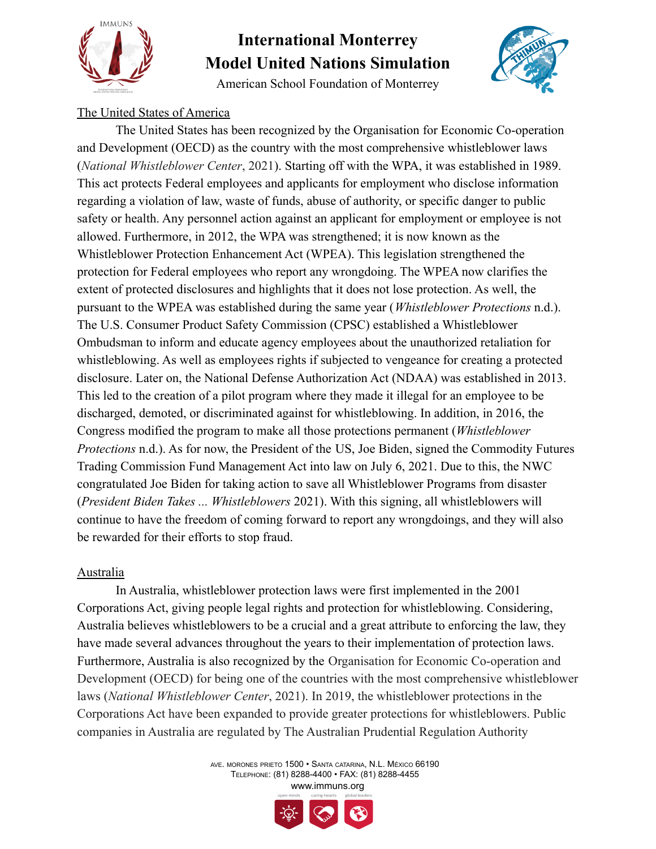

American School Foundation of Monterrey



### The United States of America

The United States has been recognized by the Organisation for Economic Co-operation and Development (OECD) as the country with the most comprehensive whistleblower laws (*National Whistleblower Center*, 2021). Starting off with the WPA, it was established in 1989. This act protects Federal employees and applicants for employment who disclose information regarding a violation of law, waste of funds, abuse of authority, or specific danger to public safety or health. Any personnel action against an applicant for employment or employee is not allowed. Furthermore, in 2012, the WPA was strengthened; it is now known as the Whistleblower Protection Enhancement Act (WPEA). This legislation strengthened the protection for Federal employees who report any wrongdoing. The WPEA now clarifies the extent of protected disclosures and highlights that it does not lose protection. As well, the pursuant to the WPEA was established during the same year (*Whistleblower Protections* n.d.). The U.S. Consumer Product Safety Commission (CPSC) established a Whistleblower Ombudsman to inform and educate agency employees about the unauthorized retaliation for whistleblowing. As well as employees rights if subjected to vengeance for creating a protected disclosure. Later on, the National Defense Authorization Act (NDAA) was established in 2013. This led to the creation of a pilot program where they made it illegal for an employee to be discharged, demoted, or discriminated against for whistleblowing. In addition, in 2016, the Congress modified the program to make all those protections permanent (*Whistleblower Protections* n.d.). As for now, the President of the US, Joe Biden, signed the Commodity Futures Trading Commission Fund Management Act into law on July 6, 2021. Due to this, the NWC congratulated Joe Biden for taking action to save all Whistleblower Programs from disaster (*President Biden Takes ... Whistleblowers* 2021). With this signing, all whistleblowers will continue to have the freedom of coming forward to report any wrongdoings, and they will also be rewarded for their efforts to stop fraud.

#### Australia

In Australia, whistleblower protection laws were first implemented in the 2001 Corporations Act, giving people legal rights and protection for whistleblowing. Considering, Australia believes whistleblowers to be a crucial and a great attribute to enforcing the law, they have made several advances throughout the years to their implementation of protection laws. Furthermore, Australia is also recognized by the Organisation for Economic Co-operation and Development (OECD) for being one of the countries with the most comprehensive whistleblower laws (*National Whistleblower Center*, 2021). In 2019, the whistleblower protections in the Corporations Act have been expanded to provide greater protections for whistleblowers. Public companies in Australia are regulated by The Australian Prudential Regulation Authority

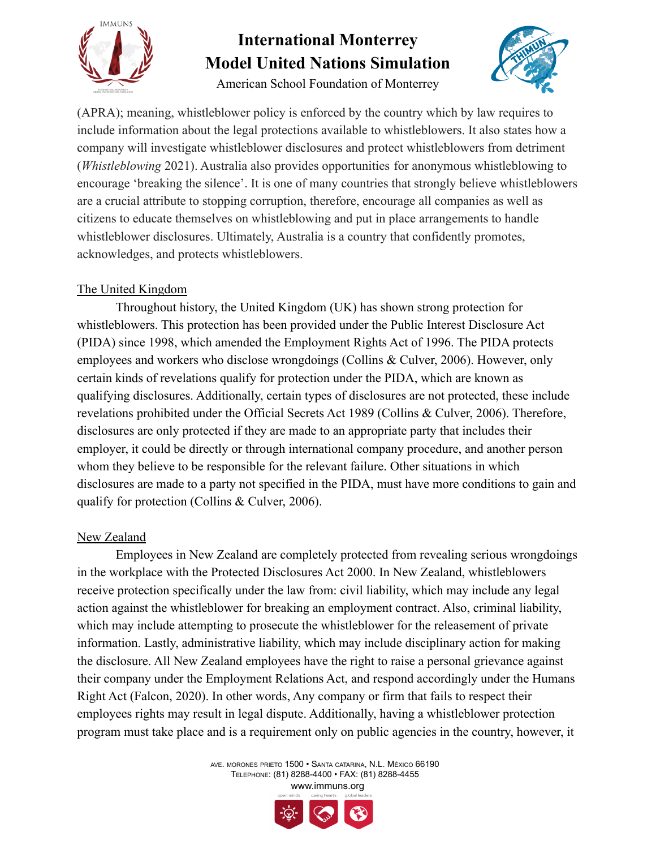

American School Foundation of Monterrey



(APRA); meaning, whistleblower policy is enforced by the country which by law requires to include information about the legal protections available to whistleblowers. It also states how a company will investigate whistleblower disclosures and protect whistleblowers from detriment (*Whistleblowing* 2021). Australia also provides opportunities for anonymous whistleblowing to encourage 'breaking the silence'. It is one of many countries that strongly believe whistleblowers are a crucial attribute to stopping corruption, therefore, encourage all companies as well as citizens to educate themselves on whistleblowing and put in place arrangements to handle whistleblower disclosures. Ultimately, Australia is a country that confidently promotes, acknowledges, and protects whistleblowers.

### The United Kingdom

Throughout history, the United Kingdom (UK) has shown strong protection for whistleblowers. This protection has been provided under the Public Interest Disclosure Act (PIDA) since 1998, which amended the Employment Rights Act of 1996. The PIDA protects employees and workers who disclose wrongdoings (Collins & Culver, 2006). However, only certain kinds of revelations qualify for protection under the PIDA, which are known as qualifying disclosures. Additionally, certain types of disclosures are not protected, these include revelations prohibited under the Official Secrets Act 1989 (Collins & Culver, 2006). Therefore, disclosures are only protected if they are made to an appropriate party that includes their employer, it could be directly or through international company procedure, and another person whom they believe to be responsible for the relevant failure. Other situations in which disclosures are made to a party not specified in the PIDA, must have more conditions to gain and qualify for protection (Collins & Culver, 2006).

### New Zealand

Employees in New Zealand are completely protected from revealing serious wrongdoings in the workplace with the Protected Disclosures Act 2000. In New Zealand, whistleblowers receive protection specifically under the law from: civil liability, which may include any legal action against the whistleblower for breaking an employment contract. Also, criminal liability, which may include attempting to prosecute the whistleblower for the releasement of private information. Lastly, administrative liability, which may include disciplinary action for making the disclosure. All New Zealand employees have the right to raise a personal grievance against their company under the Employment Relations Act, and respond accordingly under the Humans Right Act (Falcon, 2020). In other words, Any company or firm that fails to respect their employees rights may result in legal dispute. Additionally, having a whistleblower protection program must take place and is a requirement only on public agencies in the country, however, it

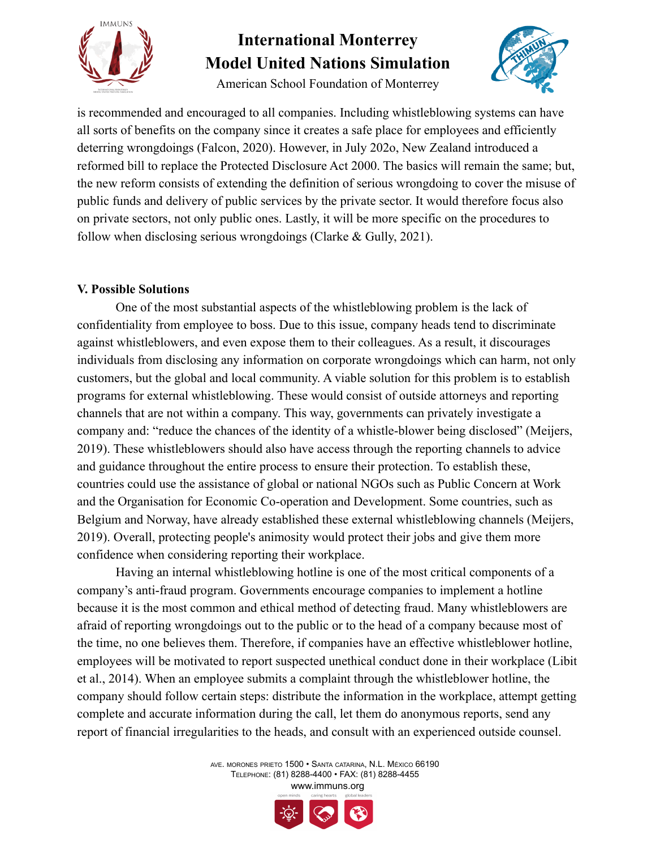

American School Foundation of Monterrey



is recommended and encouraged to all companies. Including whistleblowing systems can have all sorts of benefits on the company since it creates a safe place for employees and efficiently deterring wrongdoings (Falcon, 2020). However, in July 202o, New Zealand introduced a reformed bill to replace the Protected Disclosure Act 2000. The basics will remain the same; but, the new reform consists of extending the definition of serious wrongdoing to cover the misuse of public funds and delivery of public services by the private sector. It would therefore focus also on private sectors, not only public ones. Lastly, it will be more specific on the procedures to follow when disclosing serious wrongdoings (Clarke  $&$  Gully, 2021).

### **V. Possible Solutions**

One of the most substantial aspects of the whistleblowing problem is the lack of confidentiality from employee to boss. Due to this issue, company heads tend to discriminate against whistleblowers, and even expose them to their colleagues. As a result, it discourages individuals from disclosing any information on corporate wrongdoings which can harm, not only customers, but the global and local community. A viable solution for this problem is to establish programs for external whistleblowing. These would consist of outside attorneys and reporting channels that are not within a company. This way, governments can privately investigate a company and: "reduce the chances of the identity of a whistle-blower being disclosed" (Meijers, 2019). These whistleblowers should also have access through the reporting channels to advice and guidance throughout the entire process to ensure their protection. To establish these, countries could use the assistance of global or national NGOs such as Public Concern at Work and the Organisation for Economic Co-operation and Development. Some countries, such as Belgium and Norway, have already established these external whistleblowing channels (Meijers, 2019). Overall, protecting people's animosity would protect their jobs and give them more confidence when considering reporting their workplace.

Having an internal whistleblowing hotline is one of the most critical components of a company's anti-fraud program. Governments encourage companies to implement a hotline because it is the most common and ethical method of detecting fraud. Many whistleblowers are afraid of reporting wrongdoings out to the public or to the head of a company because most of the time, no one believes them. Therefore, if companies have an effective whistleblower hotline, employees will be motivated to report suspected unethical conduct done in their workplace (Libit et al., 2014). When an employee submits a complaint through the whistleblower hotline, the company should follow certain steps: distribute the information in the workplace, attempt getting complete and accurate information during the call, let them do anonymous reports, send any report of financial irregularities to the heads, and consult with an experienced outside counsel.

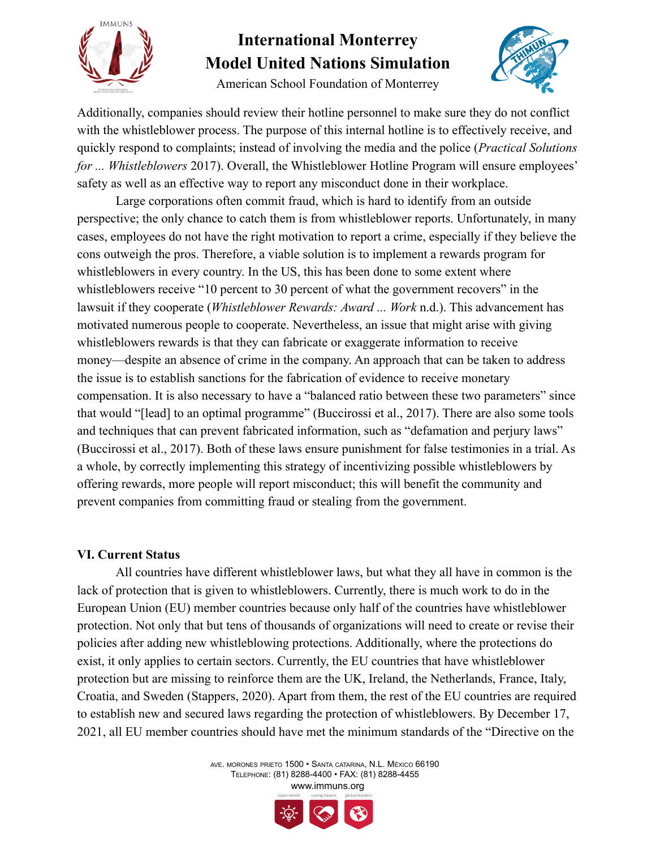

American School Foundation of Monterrey



Additionally, companies should review their hotline personnel to make sure they do not conflict with the whistleblower process. The purpose of this internal hotline is to effectively receive, and quickly respond to complaints; instead of involving the media and the police (*Practical Solutions for ... Whistleblowers* 2017). Overall, the Whistleblower Hotline Program will ensure employees' safety as well as an effective way to report any misconduct done in their workplace.

Large corporations often commit fraud, which is hard to identify from an outside perspective; the only chance to catch them is from whistleblower reports. Unfortunately, in many cases, employees do not have the right motivation to report a crime, especially if they believe the cons outweigh the pros. Therefore, a viable solution is to implement a rewards program for whistleblowers in every country. In the US, this has been done to some extent where whistleblowers receive "10 percent to 30 percent of what the government recovers" in the lawsuit if they cooperate (*Whistleblower Rewards: Award ... Work* n.d.). This advancement has motivated numerous people to cooperate. Nevertheless, an issue that might arise with giving whistleblowers rewards is that they can fabricate or exaggerate information to receive money—despite an absence of crime in the company. An approach that can be taken to address the issue is to establish sanctions for the fabrication of evidence to receive monetary compensation. It is also necessary to have a "balanced ratio between these two parameters" since that would "[lead] to an optimal programme" (Buccirossi et al., 2017). There are also some tools and techniques that can prevent fabricated information, such as "defamation and perjury laws" (Buccirossi et al., 2017). Both of these laws ensure punishment for false testimonies in a trial. As a whole, by correctly implementing this strategy of incentivizing possible whistleblowers by offering rewards, more people will report misconduct; this will benefit the community and prevent companies from committing fraud or stealing from the government.

### **VI. Current Status**

All countries have different whistleblower laws, but what they all have in common is the lack of protection that is given to whistleblowers. Currently, there is much work to do in the European Union (EU) member countries because only half of the countries have whistleblower protection. Not only that but tens of thousands of organizations will need to create or revise their policies after adding new whistleblowing protections. Additionally, where the protections do exist, it only applies to certain sectors. Currently, the EU countries that have whistleblower protection but are missing to reinforce them are the UK, Ireland, the Netherlands, France, Italy, Croatia, and Sweden (Stappers, 2020). Apart from them, the rest of the EU countries are required to establish new and secured laws regarding the protection of whistleblowers. By December 17, 2021, all EU member countries should have met the minimum standards of the "Directive on the

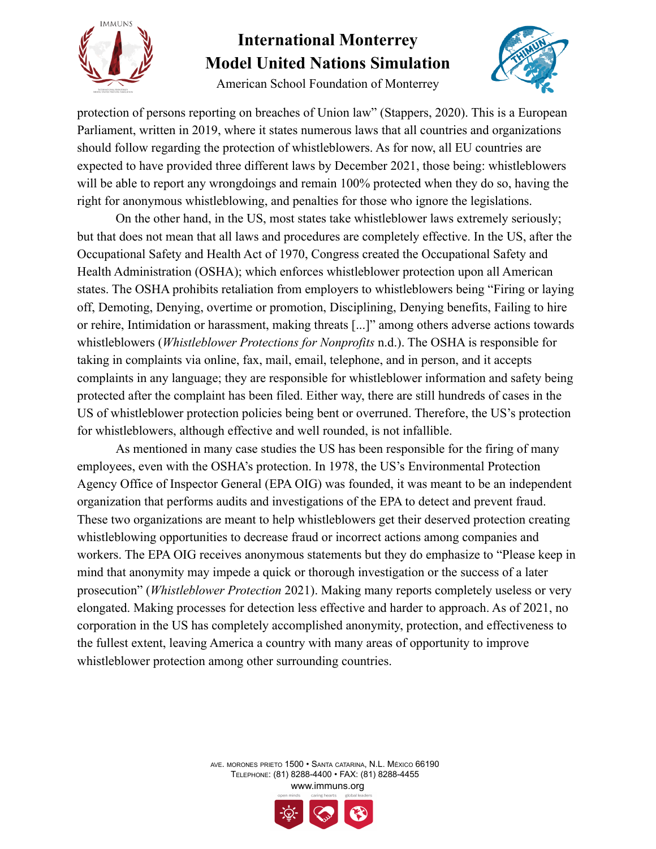

American School Foundation of Monterrey



protection of persons reporting on breaches of Union law" (Stappers, 2020). This is a European Parliament, written in 2019, where it states numerous laws that all countries and organizations should follow regarding the protection of whistleblowers. As for now, all EU countries are expected to have provided three different laws by December 2021, those being: whistleblowers will be able to report any wrongdoings and remain 100% protected when they do so, having the right for anonymous whistleblowing, and penalties for those who ignore the legislations.

On the other hand, in the US, most states take whistleblower laws extremely seriously; but that does not mean that all laws and procedures are completely effective. In the US, after the Occupational Safety and Health Act of 1970, Congress created the Occupational Safety and Health Administration (OSHA); which enforces whistleblower protection upon all American states. The OSHA prohibits retaliation from employers to whistleblowers being "Firing or laying off, Demoting, Denying, overtime or promotion, Disciplining, Denying benefits, Failing to hire or rehire, Intimidation or harassment, making threats [...]" among others adverse actions towards whistleblowers (*Whistleblower Protections for Nonprofits* n.d.). The OSHA is responsible for taking in complaints via online, fax, mail, email, telephone, and in person, and it accepts complaints in any language; they are responsible for whistleblower information and safety being protected after the complaint has been filed. Either way, there are still hundreds of cases in the US of whistleblower protection policies being bent or overruned. Therefore, the US's protection for whistleblowers, although effective and well rounded, is not infallible.

As mentioned in many case studies the US has been responsible for the firing of many employees, even with the OSHA's protection. In 1978, the US's Environmental Protection Agency Office of Inspector General (EPA OIG) was founded, it was meant to be an independent organization that performs audits and investigations of the EPA to detect and prevent fraud. These two organizations are meant to help whistleblowers get their deserved protection creating whistleblowing opportunities to decrease fraud or incorrect actions among companies and workers. The EPA OIG receives anonymous statements but they do emphasize to "Please keep in mind that anonymity may impede a quick or thorough investigation or the success of a later prosecution" (*Whistleblower Protection* 2021). Making many reports completely useless or very elongated. Making processes for detection less effective and harder to approach. As of 2021, no corporation in the US has completely accomplished anonymity, protection, and effectiveness to the fullest extent, leaving America a country with many areas of opportunity to improve whistleblower protection among other surrounding countries.

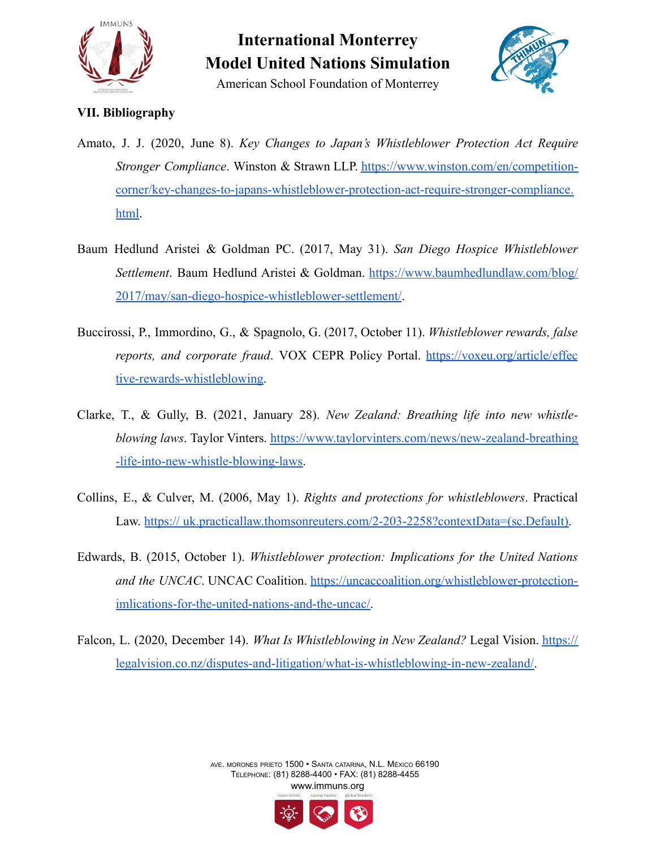

### American School Foundation of Monterrey

#### **VII. Bibliography**

- Amato, J. J. (2020, June 8). *Key Changes to Japan's Whistleblower Protection Act Require Stronger Compliance*. Winston & Strawn LLP. [https://www.winston.com/en/competition](https://www.winston.com/en/competition-corner/key-changes-to-japans-whistleblower-protection-act-require-stronger-compliance.html)[corner/key-changes-to-japans-whistleblower-protection-act-require-stronger-compliance.](https://www.winston.com/en/competition-corner/key-changes-to-japans-whistleblower-protection-act-require-stronger-compliance.html) [html](https://www.winston.com/en/competition-corner/key-changes-to-japans-whistleblower-protection-act-require-stronger-compliance.html).
- Baum Hedlund Aristei & Goldman PC. (2017, May 31). *San Diego Hospice Whistleblower Settlement*. Baum Hedlund Aristei & Goldman. [https://www.baumhedlundlaw.com/blog/](https://www.baumhedlundlaw.com/blog/2017/may/san-diego-hospice-whistleblower-settlement/) [2017/may/san-diego-hospice-whistleblower-settlement/](https://www.baumhedlundlaw.com/blog/2017/may/san-diego-hospice-whistleblower-settlement/).
- Buccirossi, P., Immordino, G., & Spagnolo, G. (2017, October 11). *Whistleblower rewards, false reports, and corporate fraud*. VOX CEPR Policy Portal. [https://voxeu.org/article/effec](https://voxeu.org/article/effective-rewards-whistleblowing) [tive-rewards-whistleblowing.](https://voxeu.org/article/effective-rewards-whistleblowing)
- Clarke, T., & Gully, B. (2021, January 28). *New Zealand: Breathing life into new whistleblowing laws*. Taylor Vinters. [https://www.taylorvinters.com/news/new-zealand-breathing](https://www.taylorvinters.com/news/new-zealand-breathing-life-into-new-whistle-blowing-laws) [-life-into-new-whistle-blowing-laws.](https://www.taylorvinters.com/news/new-zealand-breathing-life-into-new-whistle-blowing-laws)
- Collins, E., & Culver, M. (2006, May 1). *Rights and protections for whistleblowers*. Practical Law. [https:// uk.practicallaw.thomsonreuters.com/2-203-2258?contextData=\(sc.Default\).](https://uk.practicallaw.thomsonreuters.com/2-203-2258?contextData=(sc.Default))
- Edwards, B. (2015, October 1). *Whistleblower protection: Implications for the United Nations and the UNCAC*. UNCAC Coalition. [https://uncaccoalition.org/whistleblower-protection](https://uncaccoalition.org/whistleblower-protection-implications-for-the-united-nations-and-the-uncac/)[imlications-for-the-united-nations-and-the-uncac/.](https://uncaccoalition.org/whistleblower-protection-implications-for-the-united-nations-and-the-uncac/)
- Falcon, L. (2020, December 14). *What Is Whistleblowing in New Zealand?* Legal Vision. [https://](https://legalvision.co.nz/disputes-and-litigation/what-is-whistleblowing-in-new-zealand/) [legalvision.co.nz/disputes-and-litigation/what-is-whistleblowing-in-new-zealand/.](https://legalvision.co.nz/disputes-and-litigation/what-is-whistleblowing-in-new-zealand/)

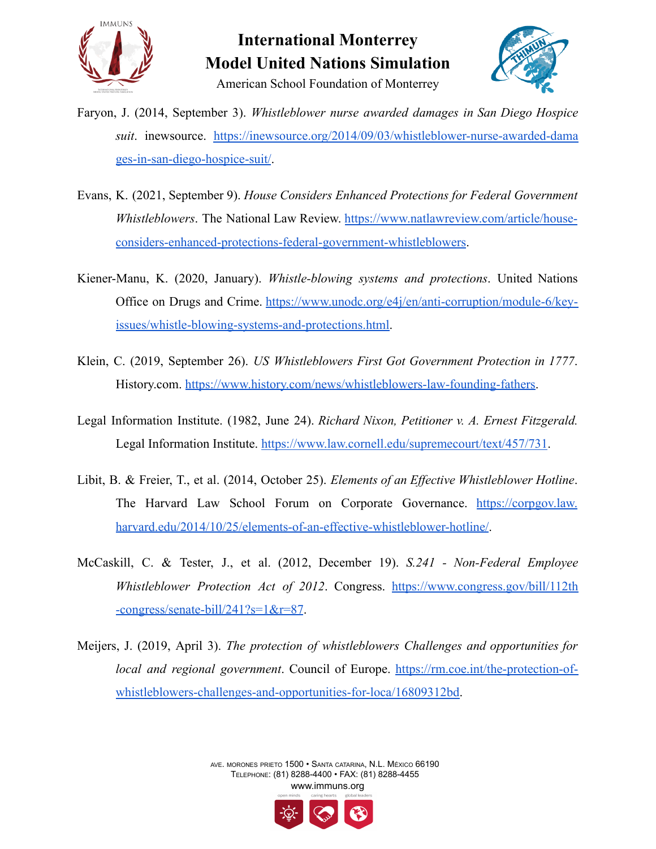



- Faryon, J. (2014, September 3). *Whistleblower nurse awarded damages in San Diego Hospice suit*. inewsource. [https://inewsource.org/2014/09/03/whistleblower-nurse-awarded-dama](https://inewsource.org/2014/09/03/whistleblower-nurse-awarded-damages-in-san-diego-hospice-suit/) [ges-in-san-diego-hospice-suit/](https://inewsource.org/2014/09/03/whistleblower-nurse-awarded-damages-in-san-diego-hospice-suit/).
- Evans, K. (2021, September 9). *House Considers Enhanced Protections for Federal Government Whistleblowers*. The National Law Review. [https://www.natlawreview.com/article/house](https://www.natlawreview.com/article/house-considers-enhanced-protections-federal-government-whistleblowers)[considers-enhanced-protections-federal-government-whistleblowers](https://www.natlawreview.com/article/house-considers-enhanced-protections-federal-government-whistleblowers).
- Kiener-Manu, K. (2020, January). *Whistle-blowing systems and protections*. United Nations Office on Drugs and Crime. [https://www.unodc.org/e4j/en/anti-corruption/module-6/key](https://www.unodc.org/e4j/en/anti-corruption/module-6/key-issues/whistle-blowing-systems-and-protections.html)[issues/whistle-blowing-systems-and-protections.html.](https://www.unodc.org/e4j/en/anti-corruption/module-6/key-issues/whistle-blowing-systems-and-protections.html)
- Klein, C. (2019, September 26). *US Whistleblowers First Got Government Protection in 1777*. History.com. [https://www.history.com/news/whistleblowers-law-founding-fathers.](https://www.history.com/news/whistleblowers-law-founding-fathers)
- Legal Information Institute. (1982, June 24). *Richard Nixon, Petitioner v. A. Ernest Fitzgerald.* Legal Information Institute. <https://www.law.cornell.edu/supremecourt/text/457/731>.
- Libit, B. & Freier, T., et al. (2014, October 25). *Elements of an Effective Whistleblower Hotline*. The Harvard Law School Forum on Corporate Governance. [https://corpgov.law.](https://corpgov.law.harvard.edu/2014/10/25/elements-of-an-effective-whistleblower-hotline/) [harvard.edu/2014/10/25/elements-of-an-effective-whistleblower-hotline/](https://corpgov.law.harvard.edu/2014/10/25/elements-of-an-effective-whistleblower-hotline/).
- McCaskill, C. & Tester, J., et al. (2012, December 19). *S.241 - Non-Federal Employee Whistleblower Protection Act of 2012*. Congress. [https://www.congress.gov/bill/112th](https://www.congress.gov/bill/112th-congress/senate-bill/241?s=1&r=87) [-congress/senate-bill/241?s=1&r=87](https://www.congress.gov/bill/112th-congress/senate-bill/241?s=1&r=87).
- Meijers, J. (2019, April 3). *The protection of whistleblowers Challenges and opportunities for local and regional government*. Council of Europe. [https://rm.coe.int/the-protection-of](https://rm.coe.int/the-protection-of-whistleblowers-challenges-and-opportunities-for-loca/16809312bd)[whistleblowers-challenges-and-opportunities-for-loca/16809312bd](https://rm.coe.int/the-protection-of-whistleblowers-challenges-and-opportunities-for-loca/16809312bd).

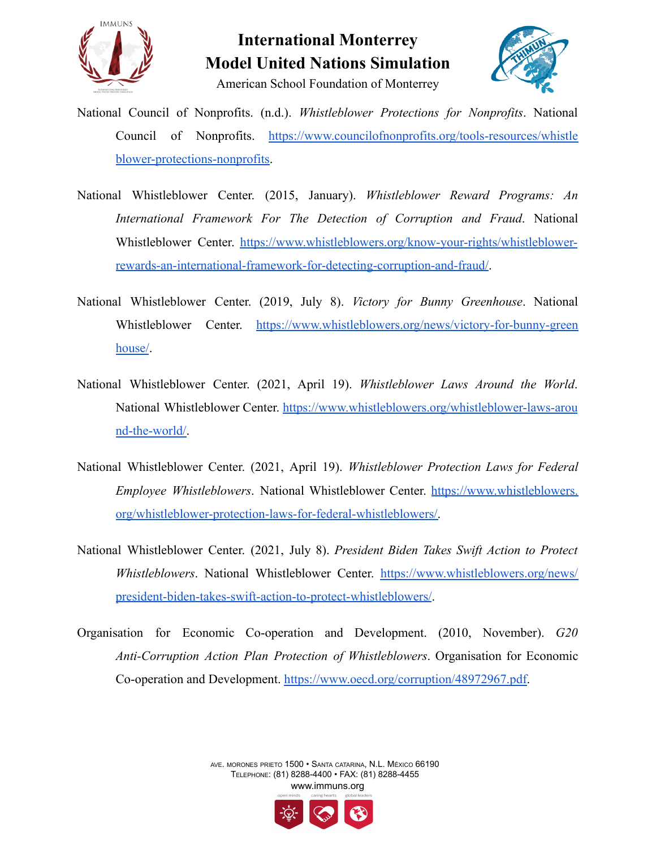



- National Council of Nonprofits. (n.d.). *Whistleblower Protections for Nonprofits*. National Council of Nonprofits. [https://www.councilofnonprofits.org/tools-resources/whistle](https://www.councilofnonprofits.org/tools-resources/whistleblower-protections-nonprofits) [blower-protections-nonprofits.](https://www.councilofnonprofits.org/tools-resources/whistleblower-protections-nonprofits)
- National Whistleblower Center. (2015, January). *Whistleblower Reward Programs: An International Framework For The Detection of Corruption and Fraud*. National Whistleblower Center. [https://www.whistleblowers.org/know-your-rights/whistleblower](https://www.whistleblowers.org/know-your-rights/whistleblower-rewards-an-international-framework-for-detecting-corruption-and-fraud/)[rewards-an-international-framework-for-detecting-corruption-and-fraud/](https://www.whistleblowers.org/know-your-rights/whistleblower-rewards-an-international-framework-for-detecting-corruption-and-fraud/).
- National Whistleblower Center. (2019, July 8). *Victory for Bunny Greenhouse*. National Whistleblower Center. [https://www.whistleblowers.org/news/victory-for-bunny-green](https://www.whistleblowers.org/news/victory-for-bunny-greenhouse/) [house/](https://www.whistleblowers.org/news/victory-for-bunny-greenhouse/).
- National Whistleblower Center. (2021, April 19). *Whistleblower Laws Around the World*. National Whistleblower Center. [https://www.whistleblowers.org/whistleblower-laws-arou](https://www.whistleblowers.org/whistleblower-laws-around-the-world/) [nd-the-world/.](https://www.whistleblowers.org/whistleblower-laws-around-the-world/)
- National Whistleblower Center. (2021, April 19). *Whistleblower Protection Laws for Federal Employee Whistleblowers*. National Whistleblower Center. [https://www.whistleblowers.](https://www.whistleblowers.org/whistleblower-protection-laws-for-federal-whistleblowers/) [org/whistleblower-protection-laws-for-federal-whistleblowers/.](https://www.whistleblowers.org/whistleblower-protection-laws-for-federal-whistleblowers/)
- National Whistleblower Center. (2021, July 8). *President Biden Takes Swift Action to Protect Whistleblowers*. National Whistleblower Center. [https://www.whistleblowers.org/news/](https://www.whistleblowers.org/news/president-biden-takes-swift-action-to-protect-whistleblowers/) [president-biden-takes-swift-action-to-protect-whistleblowers/](https://www.whistleblowers.org/news/president-biden-takes-swift-action-to-protect-whistleblowers/).
- Organisation for Economic Co-operation and Development. (2010, November). *G20 Anti-Corruption Action Plan Protection of Whistleblowers*. Organisation for Economic Co-operation and Development. [https://www.oecd.org/corruption/48972967.pdf.](https://www.oecd.org/corruption/48972967.pdf)

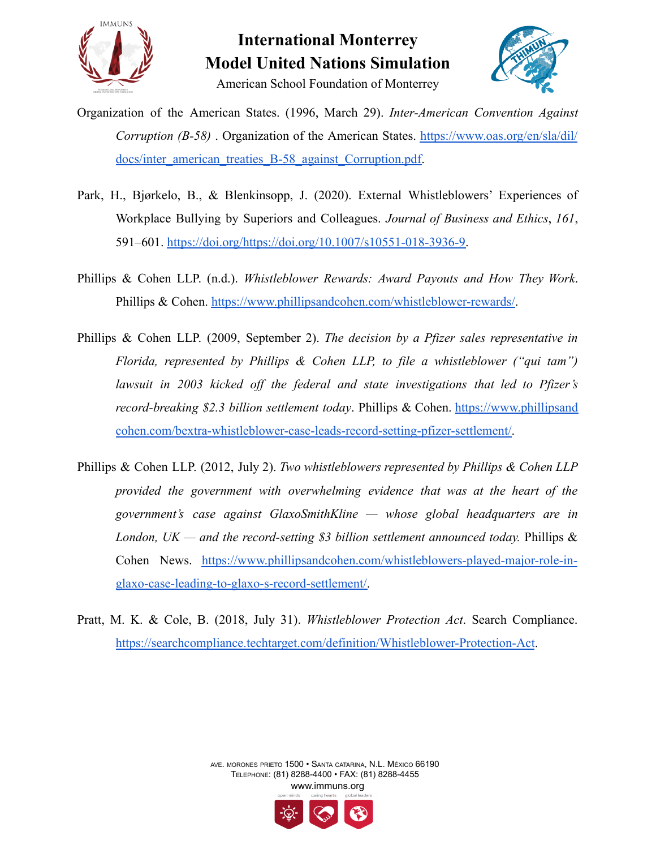



- Organization of the American States. (1996, March 29). *Inter-American Convention Against Corruption (B-58)* . Organization of the American States. [https://www.oas.org/en/sla/dil/](https://www.oas.org/en/sla/dil/docs/inter_american_treaties_B-58_against_Corruption.pdf) [docs/inter\\_american\\_treaties\\_B-58\\_against\\_Corruption.pdf.](https://www.oas.org/en/sla/dil/docs/inter_american_treaties_B-58_against_Corruption.pdf)
- Park, H., Bjørkelo, B., & Blenkinsopp, J. (2020). External Whistleblowers' Experiences of Workplace Bullying by Superiors and Colleagues. *Journal of Business and Ethics*, *161*, 591–601. [https://doi.org/https://doi.org/10.1007/s10551-018-3936-9.](https://doi.org/https://doi.org/10.1007/s10551-018-3936-9)
- Phillips & Cohen LLP. (n.d.). *Whistleblower Rewards: Award Payouts and How They Work*. Phillips & Cohen. [https://www.phillipsandcohen.com/whistleblower-rewards/.](https://www.phillipsandcohen.com/whistleblower-rewards/)
- Phillips & Cohen LLP. (2009, September 2). *The decision by a Pfizer sales representative in Florida, represented by Phillips & Cohen LLP, to file a whistleblower ("qui tam") lawsuit in 2003 kicked off the federal and state investigations that led to Pfizer's record-breaking \$2.3 billion settlement today*. Phillips & Cohen. [https://www.phillipsand](https://www.phillipsandcohen.com/bextra-whistleblower-case-leads-record-setting-pfizer-settlement/) [cohen.com/bextra-whistleblower-case-leads-record-setting-pfizer-settlement/.](https://www.phillipsandcohen.com/bextra-whistleblower-case-leads-record-setting-pfizer-settlement/)
- Phillips & Cohen LLP. (2012, July 2). *Two whistleblowers represented by Phillips & Cohen LLP provided the government with overwhelming evidence that was at the heart of the government's case against GlaxoSmithKline — whose global headquarters are in London, UK — and the record-setting \$3 billion settlement announced today.* Phillips & Cohen News. [https://www.phillipsandcohen.com/whistleblowers-played-major-role-in](https://www.phillipsandcohen.com/whistleblowers-played-major-role-in-glaxo-case-leading-to-glaxo-s-record-settlement/)[glaxo-case-leading-to-glaxo-s-record-settlement/.](https://www.phillipsandcohen.com/whistleblowers-played-major-role-in-glaxo-case-leading-to-glaxo-s-record-settlement/)
- Pratt, M. K. & Cole, B. (2018, July 31). *Whistleblower Protection Act*. Search Compliance. <https://searchcompliance.techtarget.com/definition/Whistleblower-Protection-Act>.

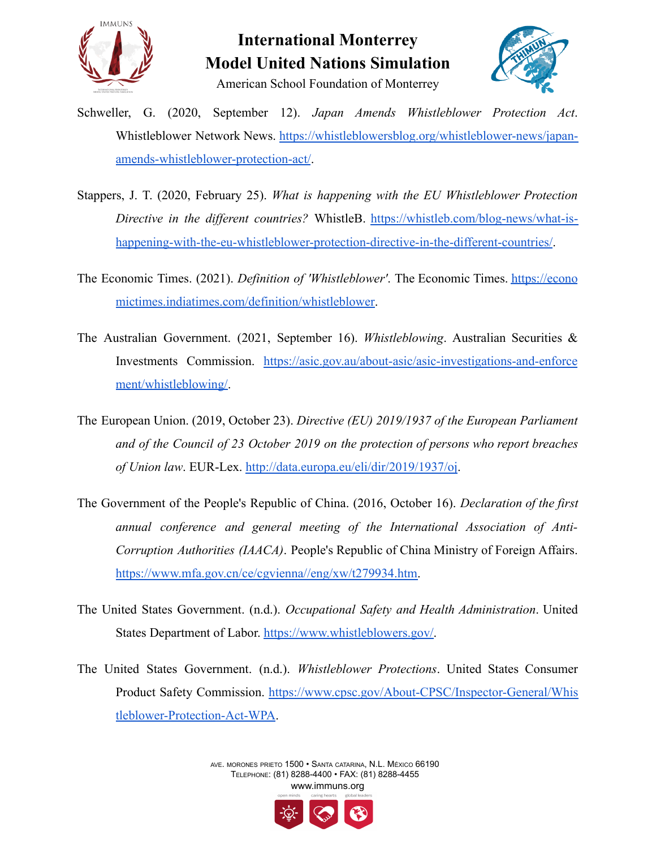



- Schweller, G. (2020, September 12). *Japan Amends Whistleblower Protection Act*. Whistleblower Network News. [https://whistleblowersblog.org/whistleblower-news/japan](https://whistleblowersblog.org/whistleblower-news/japan-amends-whistleblower-protection-act/)[amends-whistleblower-protection-act/](https://whistleblowersblog.org/whistleblower-news/japan-amends-whistleblower-protection-act/).
- Stappers, J. T. (2020, February 25). *What is happening with the EU Whistleblower Protection Directive in the different countries?* WhistleB. [https://whistleb.com/blog-news/what-is](https://whistleb.com/blog-news/what-is-happening-with-the-eu-whistleblower-protection-directive-in-the-different-countries/)[happening-with-the-eu-whistleblower-protection-directive-in-the-different-countries/](https://whistleb.com/blog-news/what-is-happening-with-the-eu-whistleblower-protection-directive-in-the-different-countries/).
- The Economic Times. (2021). *Definition of 'Whistleblower'*. The Economic Times. [https://econo](https://economictimes.indiatimes.com/definition/whistleblower) [mictimes.indiatimes.com/definition/whistleblower.](https://economictimes.indiatimes.com/definition/whistleblower)
- The Australian Government. (2021, September 16). *Whistleblowing*. Australian Securities & Investments Commission. [https://asic.gov.au/about-asic/asic-investigations-and-enforce](https://asic.gov.au/about-asic/asic-investigations-and-enforcement/whistleblowing/) [ment/whistleblowing/.](https://asic.gov.au/about-asic/asic-investigations-and-enforcement/whistleblowing/)
- The European Union. (2019, October 23). *Directive (EU) 2019/1937 of the European Parliament and of the Council of 23 October 2019 on the protection of persons who report breaches of Union law*. EUR-Lex. <http://data.europa.eu/eli/dir/2019/1937/oj>.
- The Government of the People's Republic of China. (2016, October 16). *Declaration of the first annual conference and general meeting of the International Association of Anti-Corruption Authorities (IAACA)*. People's Republic of China Ministry of Foreign Affairs. [https://www.mfa.gov.cn/ce/cgvienna//eng/xw/t279934.htm.](https://www.mfa.gov.cn/ce/cgvienna//eng/xw/t279934.htm)
- The United States Government. (n.d.). *Occupational Safety and Health Administration*. United States Department of Labor. [https://www.whistleblowers.gov/.](https://www.whistleblowers.gov/)
- The United States Government. (n.d.). *Whistleblower Protections*. United States Consumer Product Safety Commission. [https://www.cpsc.gov/About-CPSC/Inspector-General/Whis](https://www.cpsc.gov/About-CPSC/Inspector-General/Whistleblower-Protection-Act-WPA) [tleblower-Protection-Act-WPA](https://www.cpsc.gov/About-CPSC/Inspector-General/Whistleblower-Protection-Act-WPA).

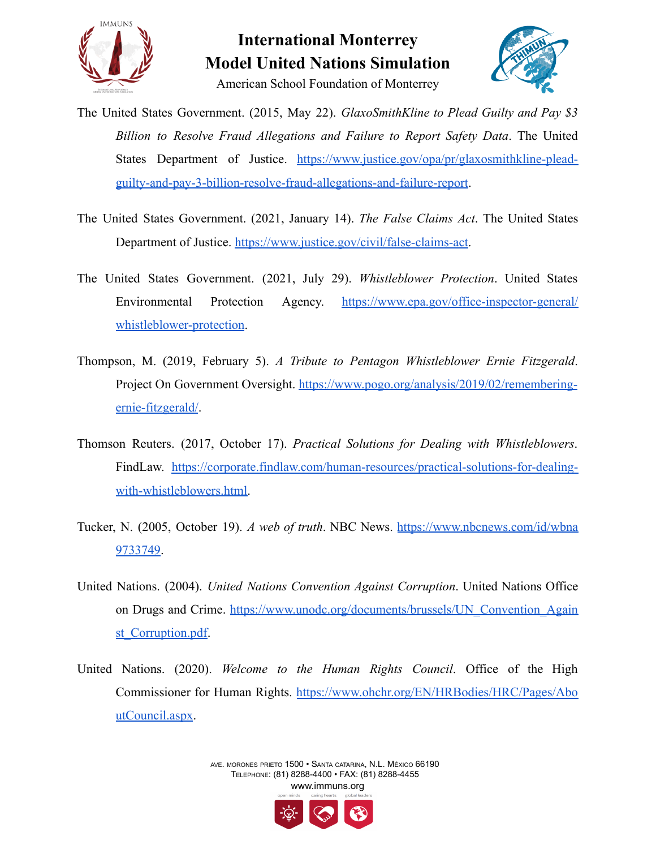



- The United States Government. (2015, May 22). *GlaxoSmithKline to Plead Guilty and Pay \$3 Billion to Resolve Fraud Allegations and Failure to Report Safety Data*. The United States Department of Justice. [https://www.justice.gov/opa/pr/glaxosmithkline-plead](https://www.justice.gov/opa/pr/glaxosmithkline-plead-guilty-and-pay-3-billion-resolve-fraud-allegations-and-failure-report)[guilty-and-pay-3-billion-resolve-fraud-allegations-and-failure-report](https://www.justice.gov/opa/pr/glaxosmithkline-plead-guilty-and-pay-3-billion-resolve-fraud-allegations-and-failure-report).
- The United States Government. (2021, January 14). *The False Claims Act*. The United States Department of Justice. <https://www.justice.gov/civil/false-claims-act>.
- The United States Government. (2021, July 29). *Whistleblower Protection*. United States Environmental Protection Agency. [https://www.epa.gov/office-inspector-general/](https://www.epa.gov/office-inspector-general/whistleblower-protection) [whistleblower-protection](https://www.epa.gov/office-inspector-general/whistleblower-protection).
- Thompson, M. (2019, February 5). *A Tribute to Pentagon Whistleblower Ernie Fitzgerald*. Project On Government Oversight. [https://www.pogo.org/analysis/2019/02/remembering](https://www.pogo.org/analysis/2019/02/remembering-ernie-fitzgerald/)[ernie-fitzgerald/](https://www.pogo.org/analysis/2019/02/remembering-ernie-fitzgerald/).
- Thomson Reuters. (2017, October 17). *Practical Solutions for Dealing with Whistleblowers*. FindLaw. [https://corporate.findlaw.com/human-resources/practical-solutions-for-dealing](https://corporate.findlaw.com/human-resources/practical-solutions-for-dealing-with-whistleblowers.html)[with-whistleblowers.html.](https://corporate.findlaw.com/human-resources/practical-solutions-for-dealing-with-whistleblowers.html)
- Tucker, N. (2005, October 19). *A web of truth*. NBC News. [https://www.nbcnews.com/id/wbna](https://www.nbcnews.com/id/wbna9733749) [9733749](https://www.nbcnews.com/id/wbna9733749).
- United Nations. (2004). *United Nations Convention Against Corruption*. United Nations Office on Drugs and Crime. [https://www.unodc.org/documents/brussels/UN\\_Convention\\_Again](https://www.unodc.org/documents/brussels/UN_Convention_Against_Corruption.pdf) [st\\_Corruption.pdf.](https://www.unodc.org/documents/brussels/UN_Convention_Against_Corruption.pdf)
- United Nations. (2020). *Welcome to the Human Rights Council*. Office of the High Commissioner for Human Rights. [https://www.ohchr.org/EN/HRBodies/HRC/Pages/Abo](https://www.ohchr.org/EN/HRBodies/HRC/Pages/AboutCouncil.aspx) [utCouncil.aspx](https://www.ohchr.org/EN/HRBodies/HRC/Pages/AboutCouncil.aspx).